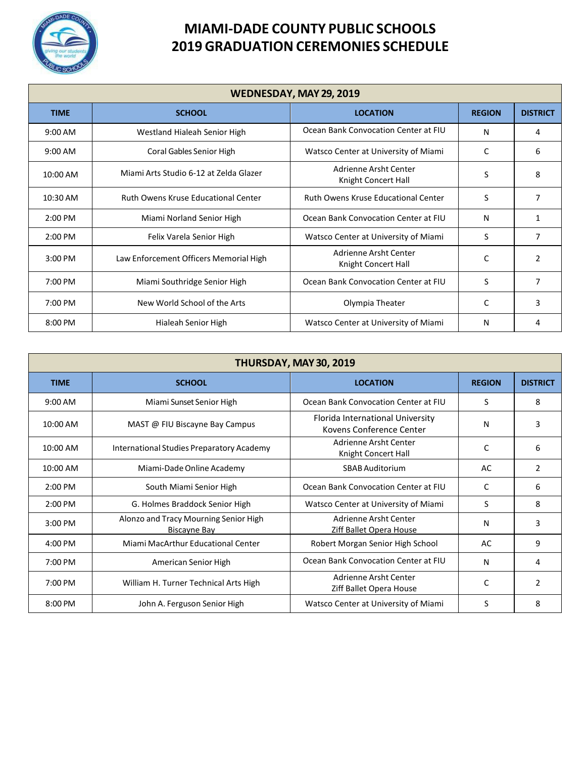

| WEDNESDAY, MAY 29, 2019 |                                            |                                              |               |                 |
|-------------------------|--------------------------------------------|----------------------------------------------|---------------|-----------------|
| <b>TIME</b>             | <b>SCHOOL</b>                              | <b>LOCATION</b>                              | <b>REGION</b> | <b>DISTRICT</b> |
| $9:00$ AM               | Westland Hialeah Senior High               | Ocean Bank Convocation Center at FIU         | N             | 4               |
| $9:00$ AM               | Coral Gables Senior High                   | Watsco Center at University of Miami         | C             | 6               |
| 10:00 AM                | Miami Arts Studio 6-12 at Zelda Glazer     | Adrienne Arsht Center<br>Knight Concert Hall | S             | 8               |
| 10:30 AM                | <b>Ruth Owens Kruse Educational Center</b> | <b>Ruth Owens Kruse Educational Center</b>   | S             | 7               |
| 2:00 PM                 | Miami Norland Senior High                  | Ocean Bank Convocation Center at FIU         | N             | 1               |
| 2:00 PM                 | Felix Varela Senior High                   | Watsco Center at University of Miami         | S             | 7               |
| $3:00$ PM               | Law Enforcement Officers Memorial High     | Adrienne Arsht Center<br>Knight Concert Hall | C             | 2               |
| 7:00 PM                 | Miami Southridge Senior High               | Ocean Bank Convocation Center at FIU         | S             | 7               |
| 7:00 PM                 | New World School of the Arts               | Olympia Theater                              | C             | 3               |
| 8:00 PM                 | Hialeah Senior High                        | Watsco Center at University of Miami         | N             | 4               |

| THURSDAY, MAY 30, 2019 |                                                              |                                                              |               |                 |
|------------------------|--------------------------------------------------------------|--------------------------------------------------------------|---------------|-----------------|
| <b>TIME</b>            | <b>SCHOOL</b>                                                | <b>LOCATION</b>                                              | <b>REGION</b> | <b>DISTRICT</b> |
| $9:00$ AM              | Miami Sunset Senior High                                     | Ocean Bank Convocation Center at FIU                         | S             | 8               |
| 10:00 AM               | MAST @ FIU Biscayne Bay Campus                               | Florida International University<br>Kovens Conference Center | N             | 3               |
| 10:00 AM               | International Studies Preparatory Academy                    | Adrienne Arsht Center<br>Knight Concert Hall                 | C             | 6               |
| 10:00 AM               | Miami-Dade Online Academy                                    | <b>SBAB Auditorium</b>                                       | AC            | 2               |
| $2:00$ PM              | South Miami Senior High                                      | Ocean Bank Convocation Center at FIU                         | C             | 6               |
| $2:00$ PM              | G. Holmes Braddock Senior High                               | Watsco Center at University of Miami                         | S             | 8               |
| $3:00$ PM              | Alonzo and Tracy Mourning Senior High<br><b>Biscayne Bay</b> | Adrienne Arsht Center<br>Ziff Ballet Opera House             | N             | 3               |
| $4:00$ PM              | Miami MacArthur Educational Center                           | Robert Morgan Senior High School                             | AC            | 9               |
| 7:00 PM                | American Senior High                                         | Ocean Bank Convocation Center at FIU                         | N             | 4               |
| 7:00 PM                | William H. Turner Technical Arts High                        | Adrienne Arsht Center<br>Ziff Ballet Opera House             | C             | $\mathfrak{p}$  |
| 8:00 PM                | John A. Ferguson Senior High                                 | Watsco Center at University of Miami                         | S             | 8               |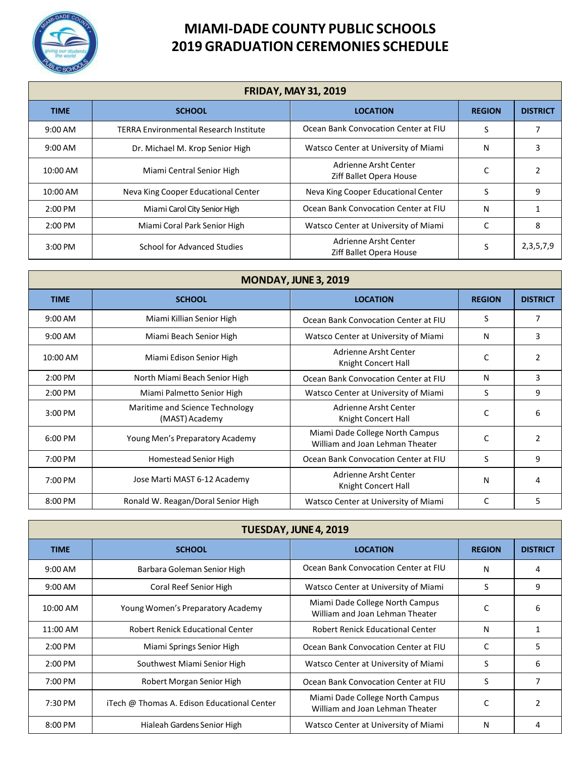

| <b>FRIDAY, MAY 31, 2019</b> |                                               |                                                  |               |                 |
|-----------------------------|-----------------------------------------------|--------------------------------------------------|---------------|-----------------|
| <b>TIME</b>                 | <b>SCHOOL</b>                                 | <b>LOCATION</b>                                  | <b>REGION</b> | <b>DISTRICT</b> |
| $9:00 \text{ AM}$           | <b>TERRA Environmental Research Institute</b> | Ocean Bank Convocation Center at FIU             | S             |                 |
| $9:00$ AM                   | Dr. Michael M. Krop Senior High               | Watsco Center at University of Miami             | N             | 3               |
| 10:00 AM                    | Miami Central Senior High                     | Adrienne Arsht Center<br>Ziff Ballet Opera House |               |                 |
| 10:00 AM                    | Neva King Cooper Educational Center           | Neva King Cooper Educational Center              | S             | 9               |
| $2:00$ PM                   | Miami Carol City Senior High                  | Ocean Bank Convocation Center at FIU             | Ν             |                 |
| $2:00$ PM                   | Miami Coral Park Senior High                  | Watsco Center at University of Miami             | C             | 8               |
| 3:00 PM                     | School for Advanced Studies                   | Adrienne Arsht Center<br>Ziff Ballet Opera House | S             | 2,3,5,7,9       |

| MONDAY, JUNE 3, 2019 |                                                   |                                                                    |               |                 |
|----------------------|---------------------------------------------------|--------------------------------------------------------------------|---------------|-----------------|
| <b>TIME</b>          | <b>SCHOOL</b>                                     | <b>LOCATION</b>                                                    | <b>REGION</b> | <b>DISTRICT</b> |
| 9:00 AM              | Miami Killian Senior High                         | Ocean Bank Convocation Center at FIU                               | S             | 7               |
| 9:00 AM              | Miami Beach Senior High                           | Watsco Center at University of Miami                               | N             | 3               |
| 10:00 AM             | Miami Edison Senior High                          | Adrienne Arsht Center<br>Knight Concert Hall                       | C             | $\mathfrak{p}$  |
| $2:00$ PM            | North Miami Beach Senior High                     | Ocean Bank Convocation Center at FIU                               | N             | 3               |
| 2:00 PM              | Miami Palmetto Senior High                        | Watsco Center at University of Miami                               | S             | 9               |
| 3:00 PM              | Maritime and Science Technology<br>(MAST) Academy | Adrienne Arsht Center<br>Knight Concert Hall                       | C             | 6               |
| 6:00 PM              | Young Men's Preparatory Academy                   | Miami Dade College North Campus<br>William and Joan Lehman Theater | $\mathsf{C}$  | $\overline{2}$  |
| 7:00 PM              | Homestead Senior High                             | Ocean Bank Convocation Center at FIU                               | S             | 9               |
| 7:00 PM              | Jose Marti MAST 6-12 Academy                      | Adrienne Arsht Center<br>Knight Concert Hall                       | N             | 4               |
| 8:00 PM              | Ronald W. Reagan/Doral Senior High                | Watsco Center at University of Miami                               | C             | 5               |

| TUESDAY, JUNE 4, 2019 |                                             |                                                                    |               |                 |
|-----------------------|---------------------------------------------|--------------------------------------------------------------------|---------------|-----------------|
| TIME                  | <b>SCHOOL</b>                               | <b>LOCATION</b>                                                    | <b>REGION</b> | <b>DISTRICT</b> |
| $9:00 \text{ AM}$     | Barbara Goleman Senior High                 | Ocean Bank Convocation Center at FIU                               | N             | 4               |
| $9:00 \text{ AM}$     | Coral Reef Senior High                      | Watsco Center at University of Miami                               | S             | 9               |
| 10:00 AM              | Young Women's Preparatory Academy           | Miami Dade College North Campus<br>William and Joan Lehman Theater | C             | 6               |
| 11:00 AM              | <b>Robert Renick Educational Center</b>     | <b>Robert Renick Educational Center</b>                            | Ν             | 1               |
| $2:00 \text{ PM}$     | Miami Springs Senior High                   | Ocean Bank Convocation Center at FIU                               | C             | 5               |
| $2:00 \text{ PM}$     | Southwest Miami Senior High                 | Watsco Center at University of Miami                               | S             | 6               |
| 7:00 PM               | Robert Morgan Senior High                   | Ocean Bank Convocation Center at FIU                               | S             | 7               |
| 7:30 PM               | iTech @ Thomas A. Edison Educational Center | Miami Dade College North Campus<br>William and Joan Lehman Theater | C             | $\mathcal{P}$   |
| $8:00 \text{ PM}$     | Hialeah Gardens Senior High                 | Watsco Center at University of Miami                               | N             | 4               |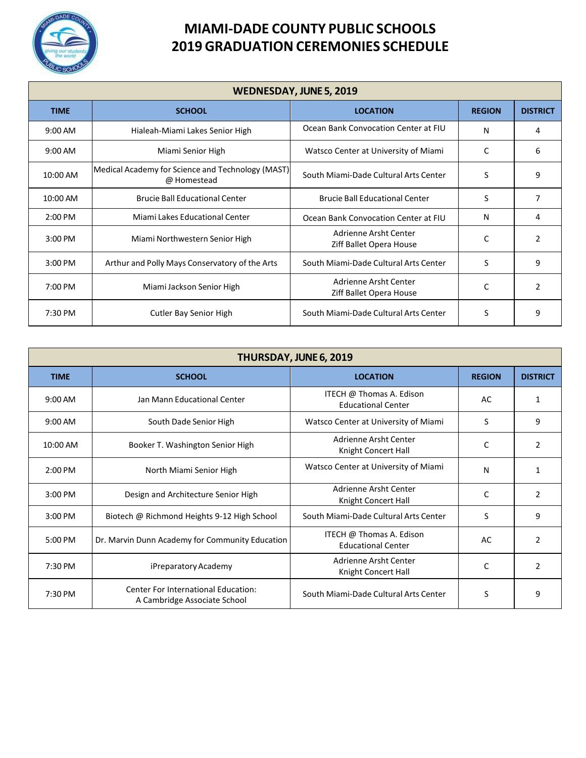

| <b>WEDNESDAY, JUNE 5, 2019</b> |                                                                  |                                                  |               |                 |
|--------------------------------|------------------------------------------------------------------|--------------------------------------------------|---------------|-----------------|
| <b>TIME</b>                    | <b>SCHOOL</b>                                                    | <b>LOCATION</b>                                  | <b>REGION</b> | <b>DISTRICT</b> |
| $9:00$ AM                      | Hialeah-Miami Lakes Senior High                                  | Ocean Bank Convocation Center at FIU             | N             | 4               |
| $9:00$ AM                      | Miami Senior High                                                | Watsco Center at University of Miami             | C             | 6               |
| 10:00 AM                       | Medical Academy for Science and Technology (MAST)<br>@ Homestead | South Miami-Dade Cultural Arts Center            | S             | 9               |
| 10:00 AM                       | <b>Brucie Ball Educational Center</b>                            | <b>Brucie Ball Educational Center</b>            | S             | 7               |
| 2:00 PM                        | Miami Lakes Educational Center                                   | Ocean Bank Convocation Center at FIU             | N             | 4               |
| 3:00 PM                        | Miami Northwestern Senior High                                   | Adrienne Arsht Center<br>Ziff Ballet Opera House | C             | $\overline{2}$  |
| $3:00$ PM                      | Arthur and Polly Mays Conservatory of the Arts                   | South Miami-Dade Cultural Arts Center            | S             | 9               |
| 7:00 PM                        | Miami Jackson Senior High                                        | Adrienne Arsht Center<br>Ziff Ballet Opera House | C             | $\mathfrak{p}$  |
| 7:30 PM                        | Cutler Bay Senior High                                           | South Miami-Dade Cultural Arts Center            | S             | 9               |

| THURSDAY, JUNE 6, 2019 |                                                                     |                                                       |               |                 |
|------------------------|---------------------------------------------------------------------|-------------------------------------------------------|---------------|-----------------|
| <b>TIME</b>            | <b>SCHOOL</b>                                                       | <b>LOCATION</b>                                       | <b>REGION</b> | <b>DISTRICT</b> |
| $9:00$ AM              | Jan Mann Educational Center                                         | ITECH @ Thomas A. Edison<br><b>Educational Center</b> | AC            | $\mathbf{1}$    |
| $9:00$ AM              | South Dade Senior High                                              | Watsco Center at University of Miami                  | S             | 9               |
| 10:00 AM               | Booker T. Washington Senior High                                    | Adrienne Arsht Center<br>Knight Concert Hall          | C             | 2               |
| $2:00$ PM              | North Miami Senior High                                             | Watsco Center at University of Miami                  | N             | $\mathbf{1}$    |
| $3:00$ PM              | Design and Architecture Senior High                                 | Adrienne Arsht Center<br>Knight Concert Hall          | C             | 2               |
| $3:00$ PM              | Biotech @ Richmond Heights 9-12 High School                         | South Miami-Dade Cultural Arts Center                 | S             | 9               |
| $5:00$ PM              | Dr. Marvin Dunn Academy for Community Education                     | ITECH @ Thomas A. Edison<br><b>Educational Center</b> | AC            | $\mathcal{P}$   |
| 7:30 PM                | iPreparatory Academy                                                | Adrienne Arsht Center<br>Knight Concert Hall          | C             | $\overline{2}$  |
| 7:30 PM                | Center For International Education:<br>A Cambridge Associate School | South Miami-Dade Cultural Arts Center                 | S             | 9               |